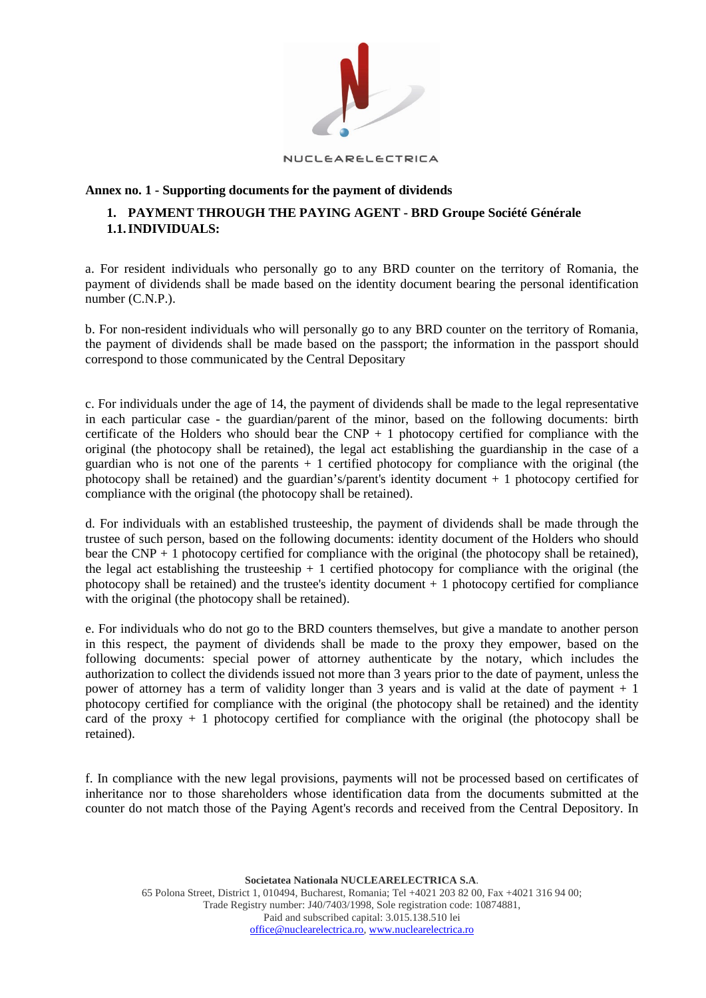

#### NUCLEARELECTRICA

### **Annex no. 1 - Supporting documents for the payment of dividends**

## **1. PAYMENT THROUGH THE PAYING AGENT - BRD Groupe Société Générale 1.1.INDIVIDUALS:**

a. For resident individuals who personally go to any BRD counter on the territory of Romania, the payment of dividends shall be made based on the identity document bearing the personal identification number (C.N.P.).

b. For non-resident individuals who will personally go to any BRD counter on the territory of Romania, the payment of dividends shall be made based on the passport; the information in the passport should correspond to those communicated by the Central Depositary

c. For individuals under the age of 14, the payment of dividends shall be made to the legal representative in each particular case - the guardian/parent of the minor, based on the following documents: birth certificate of the Holders who should bear the  $CNP + 1$  photocopy certified for compliance with the original (the photocopy shall be retained), the legal act establishing the guardianship in the case of a guardian who is not one of the parents  $+1$  certified photocopy for compliance with the original (the photocopy shall be retained) and the guardian's/parent's identity document + 1 photocopy certified for compliance with the original (the photocopy shall be retained).

d. For individuals with an established trusteeship, the payment of dividends shall be made through the trustee of such person, based on the following documents: identity document of the Holders who should bear the  $CNP + 1$  photocopy certified for compliance with the original (the photocopy shall be retained), the legal act establishing the trusteeship  $+1$  certified photocopy for compliance with the original (the photocopy shall be retained) and the trustee's identity document  $+1$  photocopy certified for compliance with the original (the photocopy shall be retained).

e. For individuals who do not go to the BRD counters themselves, but give a mandate to another person in this respect, the payment of dividends shall be made to the proxy they empower, based on the following documents: special power of attorney authenticate by the notary, which includes the authorization to collect the dividends issued not more than 3 years prior to the date of payment, unless the power of attorney has a term of validity longer than 3 years and is valid at the date of payment  $+1$ photocopy certified for compliance with the original (the photocopy shall be retained) and the identity card of the proxy  $+ 1$  photocopy certified for compliance with the original (the photocopy shall be retained).

f. In compliance with the new legal provisions, payments will not be processed based on certificates of inheritance nor to those shareholders whose identification data from the documents submitted at the counter do not match those of the Paying Agent's records and received from the Central Depository. In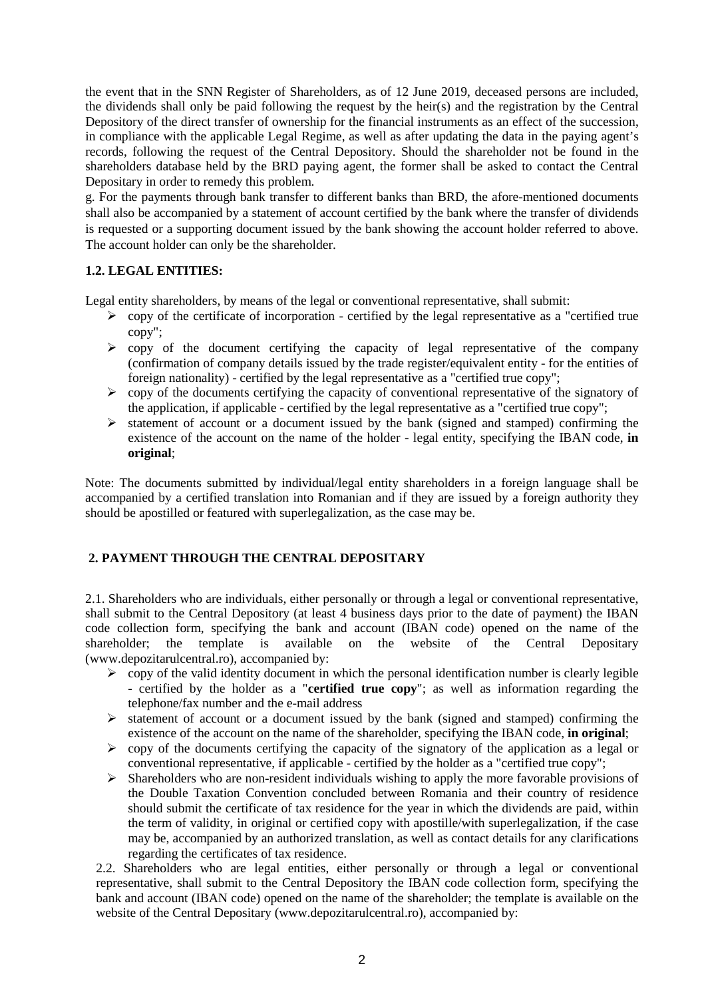the event that in the SNN Register of Shareholders, as of 12 June 2019, deceased persons are included, the dividends shall only be paid following the request by the heir(s) and the registration by the Central Depository of the direct transfer of ownership for the financial instruments as an effect of the succession, in compliance with the applicable Legal Regime, as well as after updating the data in the paying agent's records, following the request of the Central Depository. Should the shareholder not be found in the shareholders database held by the BRD paying agent, the former shall be asked to contact the Central Depositary in order to remedy this problem.

g. For the payments through bank transfer to different banks than BRD, the afore-mentioned documents shall also be accompanied by a statement of account certified by the bank where the transfer of dividends is requested or a supporting document issued by the bank showing the account holder referred to above. The account holder can only be the shareholder.

# **1.2. LEGAL ENTITIES:**

Legal entity shareholders, by means of the legal or conventional representative, shall submit:

- $\triangleright$  copy of the certificate of incorporation certified by the legal representative as a "certified true" copy";
- $\triangleright$  copy of the document certifying the capacity of legal representative of the company (confirmation of company details issued by the trade register/equivalent entity - for the entities of foreign nationality) - certified by the legal representative as a "certified true copy";
- $\triangleright$  copy of the documents certifying the capacity of conventional representative of the signatory of the application, if applicable - certified by the legal representative as a "certified true copy";
- $\triangleright$  statement of account or a document issued by the bank (signed and stamped) confirming the existence of the account on the name of the holder - legal entity, specifying the IBAN code, **in original**;

Note: The documents submitted by individual/legal entity shareholders in a foreign language shall be accompanied by a certified translation into Romanian and if they are issued by a foreign authority they should be apostilled or featured with superlegalization, as the case may be.

# **2. PAYMENT THROUGH THE CENTRAL DEPOSITARY**

2.1. Shareholders who are individuals, either personally or through a legal or conventional representative, shall submit to the Central Depository (at least 4 business days prior to the date of payment) the IBAN code collection form, specifying the bank and account (IBAN code) opened on the name of the shareholder; the template is available on the website of the Central Depositary (www.depozitarulcentral.ro), accompanied by:

- $\triangleright$  copy of the valid identity document in which the personal identification number is clearly legible - certified by the holder as a "**certified true copy**"; as well as information regarding the telephone/fax number and the e-mail address
- $\triangleright$  statement of account or a document issued by the bank (signed and stamped) confirming the existence of the account on the name of the shareholder, specifying the IBAN code, **in original**;
- $\triangleright$  copy of the documents certifying the capacity of the signatory of the application as a legal or conventional representative, if applicable - certified by the holder as a "certified true copy";
- $\triangleright$  Shareholders who are non-resident individuals wishing to apply the more favorable provisions of the Double Taxation Convention concluded between Romania and their country of residence should submit the certificate of tax residence for the year in which the dividends are paid, within the term of validity, in original or certified copy with apostille/with superlegalization, if the case may be, accompanied by an authorized translation, as well as contact details for any clarifications regarding the certificates of tax residence.

2.2. Shareholders who are legal entities, either personally or through a legal or conventional representative, shall submit to the Central Depository the IBAN code collection form, specifying the bank and account (IBAN code) opened on the name of the shareholder; the template is available on the website of the Central Depositary (www.depozitarulcentral.ro), accompanied by: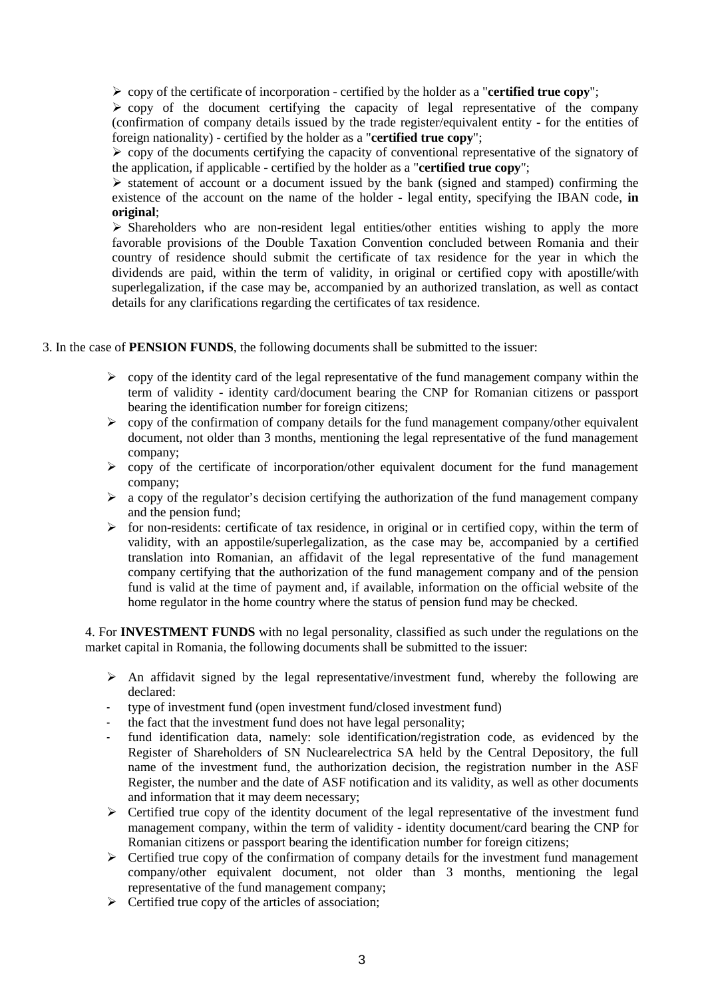copy of the certificate of incorporation - certified by the holder as a "**certified true copy**";

 $\triangleright$  copy of the document certifying the capacity of legal representative of the company (confirmation of company details issued by the trade register/equivalent entity - for the entities of foreign nationality) - certified by the holder as a "**certified true copy**";

 $\geq$  copy of the documents certifying the capacity of conventional representative of the signatory of the application, if applicable - certified by the holder as a "**certified true copy**";

 $\triangleright$  statement of account or a document issued by the bank (signed and stamped) confirming the existence of the account on the name of the holder - legal entity, specifying the IBAN code, **in original**;

 $\triangleright$  Shareholders who are non-resident legal entities/other entities wishing to apply the more favorable provisions of the Double Taxation Convention concluded between Romania and their country of residence should submit the certificate of tax residence for the year in which the dividends are paid, within the term of validity, in original or certified copy with apostille/with superlegalization, if the case may be, accompanied by an authorized translation, as well as contact details for any clarifications regarding the certificates of tax residence.

3. In the case of **PENSION FUNDS**, the following documents shall be submitted to the issuer:

- $\triangleright$  copy of the identity card of the legal representative of the fund management company within the term of validity - identity card/document bearing the CNP for Romanian citizens or passport bearing the identification number for foreign citizens;
- $\triangleright$  copy of the confirmation of company details for the fund management company/other equivalent document, not older than 3 months, mentioning the legal representative of the fund management company;
- $\triangleright$  copy of the certificate of incorporation/other equivalent document for the fund management company;
- $\triangleright$  a copy of the regulator's decision certifying the authorization of the fund management company and the pension fund;
- $\triangleright$  for non-residents: certificate of tax residence, in original or in certified copy, within the term of validity, with an appostile/superlegalization, as the case may be, accompanied by a certified translation into Romanian, an affidavit of the legal representative of the fund management company certifying that the authorization of the fund management company and of the pension fund is valid at the time of payment and, if available, information on the official website of the home regulator in the home country where the status of pension fund may be checked.

4. For **INVESTMENT FUNDS** with no legal personality, classified as such under the regulations on the market capital in Romania, the following documents shall be submitted to the issuer:

- $\triangleright$  An affidavit signed by the legal representative/investment fund, whereby the following are declared:
- type of investment fund (open investment fund/closed investment fund)
- the fact that the investment fund does not have legal personality;
- fund identification data, namely: sole identification/registration code, as evidenced by the Register of Shareholders of SN Nuclearelectrica SA held by the Central Depository, the full name of the investment fund, the authorization decision, the registration number in the ASF Register, the number and the date of ASF notification and its validity, as well as other documents and information that it may deem necessary;
- $\triangleright$  Certified true copy of the identity document of the legal representative of the investment fund management company, within the term of validity - identity document/card bearing the CNP for Romanian citizens or passport bearing the identification number for foreign citizens;
- $\triangleright$  Certified true copy of the confirmation of company details for the investment fund management company/other equivalent document, not older than 3 months, mentioning the legal representative of the fund management company;
- $\triangleright$  Certified true copy of the articles of association;